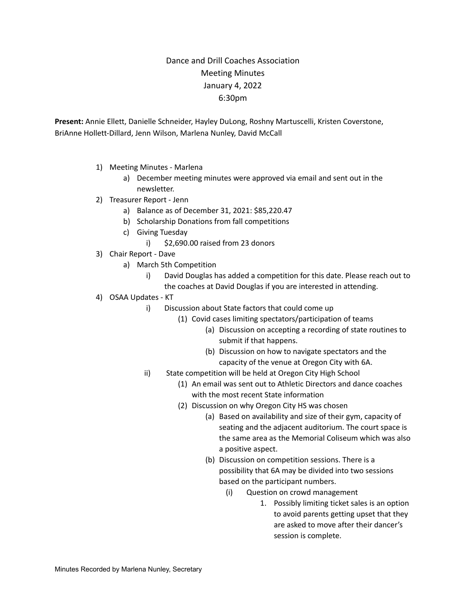## Dance and Drill Coaches Association Meeting Minutes January 4, 2022 6:30pm

**Present:** Annie Ellett, Danielle Schneider, Hayley DuLong, Roshny Martuscelli, Kristen Coverstone, BriAnne Hollett-Dillard, Jenn Wilson, Marlena Nunley, David McCall

- 1) Meeting Minutes Marlena
	- a) December meeting minutes were approved via email and sent out in the newsletter.
- 2) Treasurer Report Jenn
	- a) Balance as of December 31, 2021: \$85,220.47
	- b) Scholarship Donations from fall competitions
	- c) Giving Tuesday
		- i) \$2,690.00 raised from 23 donors
- 3) Chair Report Dave
	- a) March 5th Competition
		- i) David Douglas has added a competition for this date. Please reach out to
		- the coaches at David Douglas if you are interested in attending.
- 4) OSAA Updates KT
	- i) Discussion about State factors that could come up
		- (1) Covid cases limiting spectators/participation of teams
			- (a) Discussion on accepting a recording of state routines to submit if that happens.
			- (b) Discussion on how to navigate spectators and the capacity of the venue at Oregon City with 6A.
	- ii) State competition will be held at Oregon City High School
		- (1) An email was sent out to Athletic Directors and dance coaches with the most recent State information
		- (2) Discussion on why Oregon City HS was chosen
			- (a) Based on availability and size of their gym, capacity of seating and the adjacent auditorium. The court space is the same area as the Memorial Coliseum which was also a positive aspect.
			- (b) Discussion on competition sessions. There is a possibility that 6A may be divided into two sessions based on the participant numbers.
				- (i) Question on crowd management
					- 1. Possibly limiting ticket sales is an option to avoid parents getting upset that they are asked to move after their dancer's session is complete.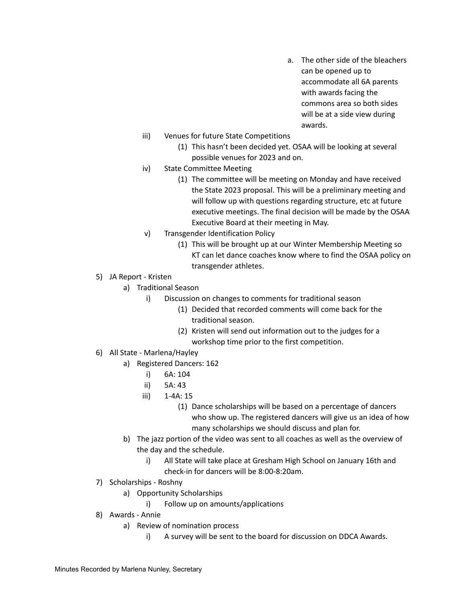- a. The other side of the bleachers can be opened up to accommodate all 6A parents with awards facing the commons area so both sides will be at a side view during awards.
- iii) Venues for future State Competitions
	- (1) This hasn't been decided yet. OSAA will be looking at several possible venues for 2023 and on.
- iv) State Committee Meeting
	- (1) The committee will be meeting on Monday and have received the State 2023 proposal. This will be a preliminary meeting and will follow up with questions regarding structure, etc at future executive meetings. The final decision will be made by the OSAA Executive Board at their meeting in May.
- v) Transgender Identification Policy
	- (1) This will be brought up at our Winter Membership Meeting so KT can let dance coaches know where to find the OSAA policy on transgender athletes.
- 5) JA Report Kristen
	- a) Traditional Season
		- i) Discussion on changes to comments for traditional season
			- (1) Decided that recorded comments will come back for the traditional season.
			- (2) Kristen will send out information out to the judges for a workshop time prior to the first competition.
- 6) All State Marlena/Hayley
	- a) Registered Dancers: 162
		- i) 6A: 104
		- ii) 5A: 43
		- iii) 1-4A: 15
			- (1) Dance scholarships will be based on a percentage of dancers who show up. The registered dancers will give us an idea of how many scholarships we should discuss and plan for.
	- b) The jazz portion of the video was sent to all coaches as well as the overview of the day and the schedule.
		- i) All State will take place at Gresham High School on January 16th and check-in for dancers will be 8:00-8:20am.
- 7) Scholarships Roshny
	- a) Opportunity Scholarships
		- i) Follow up on amounts/applications
- 8) Awards Annie
	- a) Review of nomination process
		- i) A survey will be sent to the board for discussion on DDCA Awards.